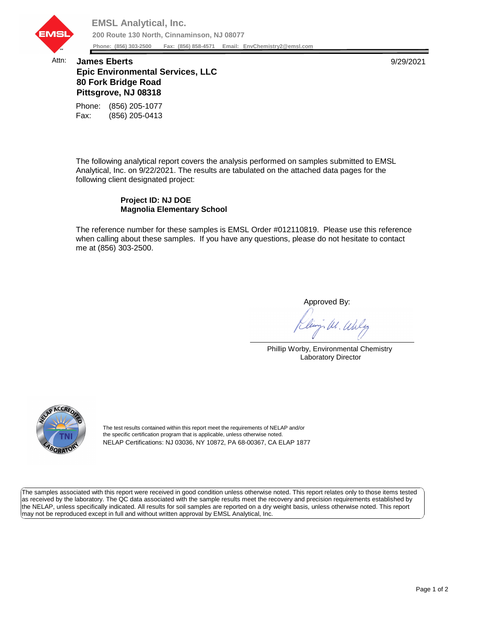

## Attn: **James Eberts** 9/29/2021 **Epic Environmental Services, LLC 80 Fork Bridge Road Pittsgrove, NJ 08318**

Fax: (856) 205-0413 Phone: (856) 205-1077

The following analytical report covers the analysis performed on samples submitted to EMSL Analytical, Inc. on 9/22/2021. The results are tabulated on the attached data pages for the following client designated project:

## **Project ID: NJ DOE Magnolia Elementary School**

The reference number for these samples is EMSL Order #012110819. Please use this reference when calling about these samples. If you have any questions, please do not hesitate to contact me at (856) 303-2500.

Approved By:

W. Waly

Phillip Worby, Environmental Chemistry Laboratory Director



The test results contained within this report meet the requirements of NELAP and/or the specific certification program that is applicable, unless otherwise noted. NELAP Certifications: NJ 03036, NY 10872, PA 68-00367, CA ELAP 1877

The samples associated with this report were received in good condition unless otherwise noted. This report relates only to those items tested as received by the laboratory. The QC data associated with the sample results meet the recovery and precision requirements established by the NELAP, unless specifically indicated. All results for soil samples are reported on a dry weight basis, unless otherwise noted. This report may not be reproduced except in full and without written approval by EMSL Analytical, Inc.